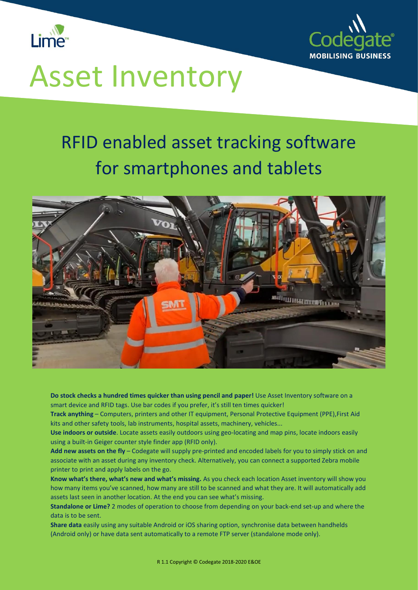



# Asset Inventory

### RFID enabled asset tracking software for smartphones and tablets



**Do stock checks a hundred times quicker than using pencil and paper!** Use Asset Inventory software on a smart device and RFID tags. Use bar codes if you prefer, it's still ten times quicker!

**Track anything** – Computers, printers and other IT equipment, Personal Protective Equipment (PPE),First Aid kits and other safety tools, lab instruments, hospital assets, machinery, vehicles...

**Use indoors or outside**. Locate assets easily outdoors using geo-locating and map pins, locate indoors easily using a built-in Geiger counter style finder app (RFID only).

**Add new assets on the fly** – Codegate will supply pre-printed and encoded labels for you to simply stick on and associate with an asset during any inventory check. Alternatively, you can connect a supported Zebra mobile printer to print and apply labels on the go.

**Know what's there, what's new and what's missing.** As you check each location Asset inventory will show you how many items you've scanned, how many are still to be scanned and what they are. It will automatically add assets last seen in another location. At the end you can see what's missing.

**Standalone or Lime?** 2 modes of operation to choose from depending on your back-end set-up and where the data is to be sent.

**Share data** easily using any suitable Android or iOS sharing option, synchronise data between handhelds (Android only) or have data sent automatically to a remote FTP server (standalone mode only).